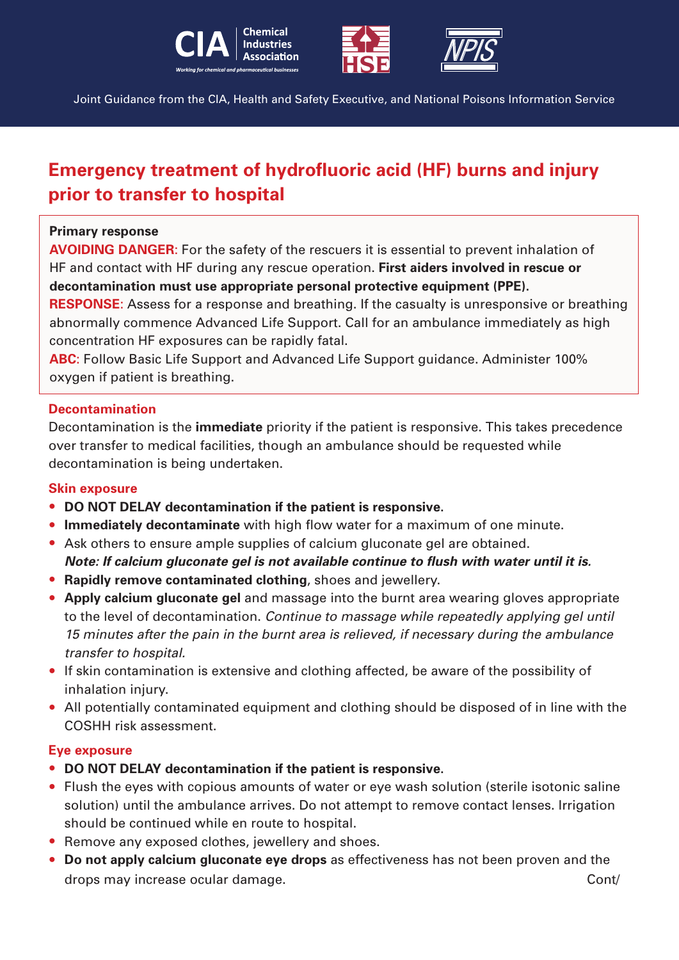





Joint Guidance from the CIA, Health and Safety Executive, and National Poisons Information Service

# **Emergency treatment of hydrofluoric acid (HF) burns and injury prior to transfer to hospital**

#### **Primary response**

**AVOIDING DANGER**: For the safety of the rescuers it is essential to prevent inhalation of HF and contact with HF during any rescue operation. **First aiders involved in rescue or decontamination must use appropriate personal protective equipment (PPE).**

**RESPONSE:** Assess for a response and breathing. If the casualty is unresponsive or breathing abnormally commence Advanced Life Support. Call for an ambulance immediately as high concentration HF exposures can be rapidly fatal.

**ABC**: Follow Basic Life Support and Advanced Life Support guidance. Administer 100% oxygen if patient is breathing.

## **Decontamination**

Decontamination is the **immediate** priority if the patient is responsive. This takes precedence over transfer to medical facilities, though an ambulance should be requested while decontamination is being undertaken.

#### **Skin exposure**

- **DO NOT DELAY decontamination if the patient is responsive.**
- **Immediately decontaminate** with high flow water for a maximum of one minute.
- Ask others to ensure ample supplies of calcium gluconate gel are obtained. *Note: If calcium gluconate gel is not available continue to flush with water until it is.*
- **Rapidly remove contaminated clothing**, shoes and jewellery.
- **Apply calcium gluconate gel** and massage into the burnt area wearing gloves appropriate to the level of decontamination. *Continue to massage while repeatedly applying gel until 15 minutes after the pain in the burnt area is relieved, if necessary during the ambulance transfer to hospital.*
- If skin contamination is extensive and clothing affected, be aware of the possibility of inhalation injury.
- All potentially contaminated equipment and clothing should be disposed of in line with the COSHH risk assessment.

#### **Eye exposure**

- **DO NOT DELAY decontamination if the patient is responsive.**
- Flush the eyes with copious amounts of water or eye wash solution (sterile isotonic saline solution) until the ambulance arrives. Do not attempt to remove contact lenses. Irrigation should be continued while en route to hospital.
- Remove any exposed clothes, jewellery and shoes.
- **Do not apply calcium gluconate eye drops** as effectiveness has not been proven and the drops may increase ocular damage. Context of the context of the context of the context of the context of the context of the context of the context of the context of the context of the context of the context of the context